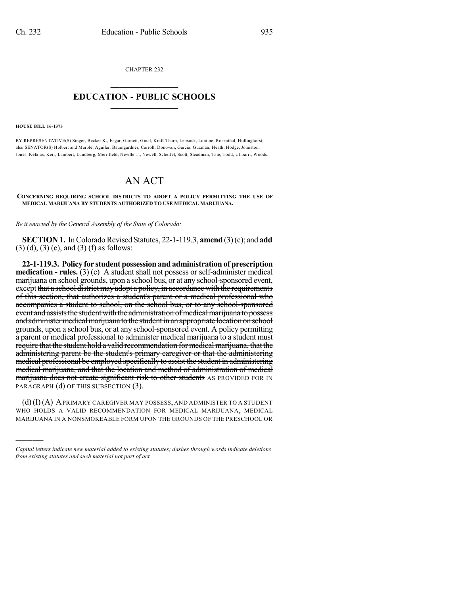CHAPTER 232  $\overline{\phantom{a}}$  . The set of the set of the set of the set of the set of the set of the set of the set of the set of the set of the set of the set of the set of the set of the set of the set of the set of the set of the set o

## **EDUCATION - PUBLIC SCHOOLS**  $\_$   $\_$   $\_$   $\_$   $\_$   $\_$   $\_$   $\_$   $\_$

**HOUSE BILL 16-1373**

)))))

BY REPRESENTATIVE(S) Singer, Becker K., Esgar, Garnett, Ginal, Kraft-Tharp, Lebsock, Lontine, Rosenthal, Hullinghorst; also SENATOR(S) Holbert and Marble, Aguilar, Baumgardner, Carroll, Donovan, Garcia, Guzman, Heath, Hodge, Johnston, Jones, Kefalas, Kerr, Lambert, Lundberg, Merrifield, Neville T., Newell, Scheffel, Scott, Steadman, Tate, Todd, Ulibarri, Woods.

## AN ACT

**CONCERNING REQUIRING SCHOOL DISTRICTS TO ADOPT A POLICY PERMITTING THE USE OF MEDICAL MARIJUANA BY STUDENTS AUTHORIZED TO USE MEDICAL MARIJUANA.**

*Be it enacted by the General Assembly of the State of Colorado:*

**SECTION 1.** In Colorado Revised Statutes, 22-1-119.3, **amend** (3)(c); and **add** (3) (d), (3) (e), and (3) (f) as follows:

**22-1-119.3. Policy for student possession and administration of prescription medication - rules.** (3) (c) A student shall not possess or self-administer medical marijuana on school grounds, upon a school bus, or at any school-sponsored event, except that a school district may adopt a policy, in accordance with the requirements of this section, that authorizes a student's parent or a medical professional who accompanies a student to school, on the school bus, or to any school-sponsored event and assists the student with the administration of medical marijuana to possess and administer medical marijuana to the student in an appropriate location on school grounds, upon a school bus, or at any school-sponsored event. A policy permitting a parent or medical professional to administer medical marijuana to a student must require that the student hold a valid recommendation for medical marijuana, that the administering parent be the student's primary caregiver or that the administering medical professional be employed specifically to assist the student in administering medical marijuana, and that the location and method of administration of medical marijuana does not create significant risk to other students AS PROVIDED FOR IN PARAGRAPH (d) OF THIS SUBSECTION (3).

 $(d)(I)(A)$  A PRIMARY CAREGIVER MAY POSSESS, AND ADMINISTER TO A STUDENT WHO HOLDS A VALID RECOMMENDATION FOR MEDICAL MARIJUANA, MEDICAL MARIJUANA IN A NONSMOKEABLE FORM UPON THE GROUNDS OF THE PRESCHOOL OR

*Capital letters indicate new material added to existing statutes; dashes through words indicate deletions from existing statutes and such material not part of act.*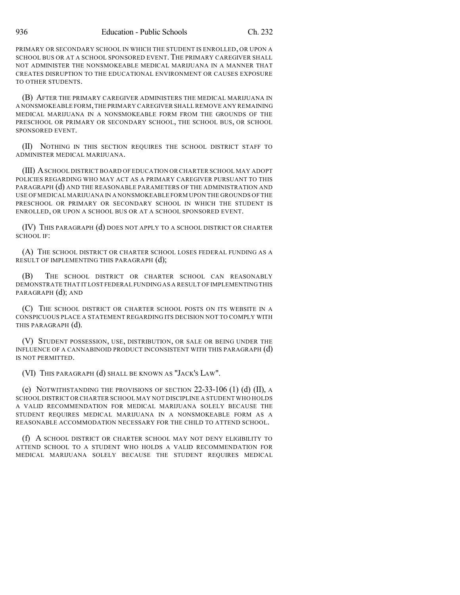PRIMARY OR SECONDARY SCHOOL IN WHICH THE STUDENT IS ENROLLED, OR UPON A SCHOOL BUS OR AT A SCHOOL SPONSORED EVENT. THE PRIMARY CAREGIVER SHALL NOT ADMINISTER THE NONSMOKEABLE MEDICAL MARIJUANA IN A MANNER THAT CREATES DISRUPTION TO THE EDUCATIONAL ENVIRONMENT OR CAUSES EXPOSURE TO OTHER STUDENTS.

(B) AFTER THE PRIMARY CAREGIVER ADMINISTERS THE MEDICAL MARIJUANA IN A NONSMOKEABLE FORM,THE PRIMARY CAREGIVER SHALL REMOVE ANY REMAINING MEDICAL MARIJUANA IN A NONSMOKEABLE FORM FROM THE GROUNDS OF THE PRESCHOOL OR PRIMARY OR SECONDARY SCHOOL, THE SCHOOL BUS, OR SCHOOL SPONSORED EVENT.

(II) NOTHING IN THIS SECTION REQUIRES THE SCHOOL DISTRICT STAFF TO ADMINISTER MEDICAL MARIJUANA.

(III) ASCHOOL DISTRICT BOARD OF EDUCATION OR CHARTER SCHOOL MAY ADOPT POLICIES REGARDING WHO MAY ACT AS A PRIMARY CAREGIVER PURSUANT TO THIS PARAGRAPH (d) AND THE REASONABLE PARAMETERS OF THE ADMINISTRATION AND USE OF MEDICAL MARIJUANA IN A NONSMOKEABLE FORM UPON THE GROUNDS OF THE PRESCHOOL OR PRIMARY OR SECONDARY SCHOOL IN WHICH THE STUDENT IS ENROLLED, OR UPON A SCHOOL BUS OR AT A SCHOOL SPONSORED EVENT.

(IV) THIS PARAGRAPH (d) DOES NOT APPLY TO A SCHOOL DISTRICT OR CHARTER SCHOOL IF:

(A) THE SCHOOL DISTRICT OR CHARTER SCHOOL LOSES FEDERAL FUNDING AS A RESULT OF IMPLEMENTING THIS PARAGRAPH (d);

(B) THE SCHOOL DISTRICT OR CHARTER SCHOOL CAN REASONABLY DEMONSTRATE THAT IT LOST FEDERAL FUNDING AS A RESULT OF IMPLEMENTING THIS PARAGRAPH (d); AND

(C) THE SCHOOL DISTRICT OR CHARTER SCHOOL POSTS ON ITS WEBSITE IN A CONSPICUOUS PLACE A STATEMENT REGARDING ITS DECISION NOT TO COMPLY WITH THIS PARAGRAPH (d).

(V) STUDENT POSSESSION, USE, DISTRIBUTION, OR SALE OR BEING UNDER THE INFLUENCE OF A CANNABINOID PRODUCT INCONSISTENT WITH THIS PARAGRAPH (d) IS NOT PERMITTED.

(VI) THIS PARAGRAPH (d) SHALL BE KNOWN AS "JACK'S LAW".

(e) NOTWITHSTANDING THE PROVISIONS OF SECTION  $22-33-106$  (1) (d) (II), A SCHOOL DISTRICT OR CHARTER SCHOOL MAY NOT DISCIPLINE A STUDENT WHO HOLDS A VALID RECOMMENDATION FOR MEDICAL MARIJUANA SOLELY BECAUSE THE STUDENT REQUIRES MEDICAL MARIJUANA IN A NONSMOKEABLE FORM AS A REASONABLE ACCOMMODATION NECESSARY FOR THE CHILD TO ATTEND SCHOOL.

(f) A SCHOOL DISTRICT OR CHARTER SCHOOL MAY NOT DENY ELIGIBILITY TO ATTEND SCHOOL TO A STUDENT WHO HOLDS A VALID RECOMMENDATION FOR MEDICAL MARIJUANA SOLELY BECAUSE THE STUDENT REQUIRES MEDICAL